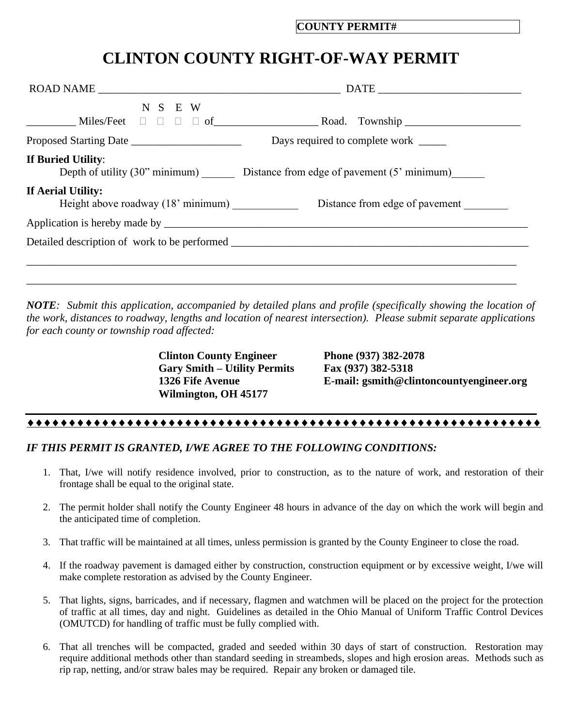## **CLINTON COUNTY RIGHT-OF-WAY PERMIT**

| N S E W            |                                                                            |
|--------------------|----------------------------------------------------------------------------|
|                    | Days required to complete work ______                                      |
| If Buried Utility: | Depth of utility (30" minimum) Distance from edge of pavement (5" minimum) |
| If Aerial Utility: |                                                                            |
|                    |                                                                            |
|                    |                                                                            |
|                    |                                                                            |
|                    |                                                                            |

*NOTE: Submit this application, accompanied by detailed plans and profile (specifically showing the location of the work, distances to roadway, lengths and location of nearest intersection). Please submit separate applications for each county or township road affected:*

> **Clinton County Engineer Phone (937) 382-2078 Gary Smith – Utility Permits Fax (937) 382-5318 Wilmington, OH 45177**

**1326 Fife Avenue E-mail: gsmith@clintoncountyengineer.org**

## 

## *IF THIS PERMIT IS GRANTED, I/WE AGREE TO THE FOLLOWING CONDITIONS:*

- 1. That, I/we will notify residence involved, prior to construction, as to the nature of work, and restoration of their frontage shall be equal to the original state.
- 2. The permit holder shall notify the County Engineer 48 hours in advance of the day on which the work will begin and the anticipated time of completion.
- 3. That traffic will be maintained at all times, unless permission is granted by the County Engineer to close the road.
- 4. If the roadway pavement is damaged either by construction, construction equipment or by excessive weight, I/we will make complete restoration as advised by the County Engineer.
- 5. That lights, signs, barricades, and if necessary, flagmen and watchmen will be placed on the project for the protection of traffic at all times, day and night. Guidelines as detailed in the Ohio Manual of Uniform Traffic Control Devices (OMUTCD) for handling of traffic must be fully complied with.
- 6. That all trenches will be compacted, graded and seeded within 30 days of start of construction. Restoration may require additional methods other than standard seeding in streambeds, slopes and high erosion areas. Methods such as rip rap, netting, and/or straw bales may be required. Repair any broken or damaged tile.